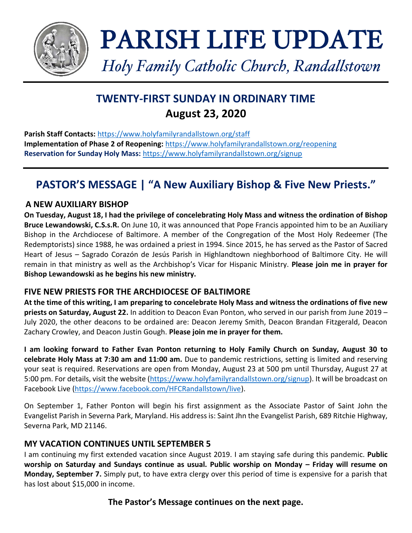

# PARISH LIFE UPDATE

*Holy Family Catholic Church, Randallstown*

# **TWENTY-FIRST SUNDAY IN ORDINARY TIME August 23, 2020**

**Parish Staff Contacts:** <https://www.holyfamilyrandallstown.org/staff> **Implementation of Phase 2 of Reopening:** <https://www.holyfamilyrandallstown.org/reopening> **Reservation for Sunday Holy Mass:** <https://www.holyfamilyrandallstown.org/signup>

# **PASTOR'S MESSAGE | "A New Auxiliary Bishop & Five New Priests."**

## **A NEW AUXILIARY BISHOP**

**On Tuesday, August 18, I had the privilege of concelebrating Holy Mass and witness the ordination of Bishop Bruce Lewandowski, C.S.s.R.** On June 10, it was announced that Pope Francis appointed him to be an Auxiliary Bishop in the Archdiocese of Baltimore. A member of the Congregation of the Most Holy Redeemer (The Redemptorists) since 1988, he was ordained a priest in 1994. Since 2015, he has served as the Pastor of Sacred Heart of Jesus – Sagrado Corazón de Jesús Parish in Highlandtown nieghborhood of Baltimore City. He will remain in that ministry as well as the Archbishop's Vicar for Hispanic Ministry. **Please join me in prayer for Bishop Lewandowski as he begins his new ministry.**

## **FIVE NEW PRIESTS FOR THE ARCHDIOCESE OF BALTIMORE**

**At the time of this writing, I am preparing to concelebrate Holy Mass and witness the ordinations of five new priests on Saturday, August 22.** In addition to Deacon Evan Ponton, who served in our parish from June 2019 – July 2020, the other deacons to be ordained are: Deacon Jeremy Smith, Deacon Brandan Fitzgerald, Deacon Zachary Crowley, and Deacon Justin Gough. **Please join me in prayer for them.**

**I am looking forward to Father Evan Ponton returning to Holy Family Church on Sunday, August 30 to celebrate Holy Mass at 7:30 am and 11:00 am.** Due to pandemic restrictions, setting is limited and reserving your seat is required. Reservations are open from Monday, August 23 at 500 pm until Thursday, August 27 at 5:00 pm. For details, visit the website [\(https://www.holyfamilyrandallstown.org/signup\)](https://www.holyfamilyrandallstown.org/signup). It will be broadcast on Facebook Live [\(https://www.facebook.com/HFCRandallstown/live\)](https://www.facebook.com/HFCRandallstown/live).

On September 1, Father Ponton will begin his first assignment as the Associate Pastor of Saint John the Evangelist Parish in Severna Park, Maryland. His address is: Saint Jhn the Evangelist Parish, 689 Ritchie Highway, Severna Park, MD 21146.

## **MY VACATION CONTINUES UNTIL SEPTEMBER 5**

I am continuing my first extended vacation since August 2019. I am staying safe during this pandemic. **Public worship on Saturday and Sundays continue as usual. Public worship on Monday – Friday will resume on Monday, September 7.** Simply put, to have extra clergy over this period of time is expensive for a parish that has lost about \$15,000 in income.

## **The Pastor's Message continues on the next page.**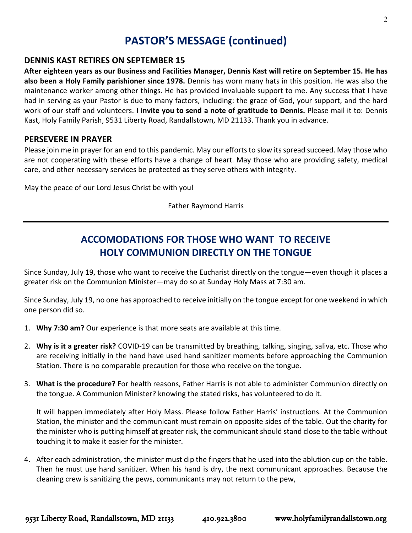## **PASTOR'S MESSAGE (continued)**

#### **DENNIS KAST RETIRES ON SEPTEMBER 15**

**After eighteen years as our Business and Facilities Manager, Dennis Kast will retire on September 15. He has also been a Holy Family parishioner since 1978.** Dennis has worn many hats in this position. He was also the maintenance worker among other things. He has provided invaluable support to me. Any success that I have had in serving as your Pastor is due to many factors, including: the grace of God, your support, and the hard work of our staff and volunteers. **I invite you to send a note of gratitude to Dennis.** Please mail it to: Dennis Kast, Holy Family Parish, 9531 Liberty Road, Randallstown, MD 21133. Thank you in advance.

#### **PERSEVERE IN PRAYER**

Please join me in prayer for an end to this pandemic. May our efforts to slow its spread succeed. May those who are not cooperating with these efforts have a change of heart. May those who are providing safety, medical care, and other necessary services be protected as they serve others with integrity.

May the peace of our Lord Jesus Christ be with you!

Father Raymond Harris

## **ACCOMODATIONS FOR THOSE WHO WANT TO RECEIVE HOLY COMMUNION DIRECTLY ON THE TONGUE**

Since Sunday, July 19, those who want to receive the Eucharist directly on the tongue—even though it places a greater risk on the Communion Minister—may do so at Sunday Holy Mass at 7:30 am.

Since Sunday, July 19, no one has approached to receive initially on the tongue except for one weekend in which one person did so.

- 1. **Why 7:30 am?** Our experience is that more seats are available at this time.
- 2. **Why is it a greater risk?** COVID-19 can be transmitted by breathing, talking, singing, saliva, etc. Those who are receiving initially in the hand have used hand sanitizer moments before approaching the Communion Station. There is no comparable precaution for those who receive on the tongue.
- 3. **What is the procedure?** For health reasons, Father Harris is not able to administer Communion directly on the tongue. A Communion Minister? knowing the stated risks, has volunteered to do it.

It will happen immediately after Holy Mass. Please follow Father Harris' instructions. At the Communion Station, the minister and the communicant must remain on opposite sides of the table. Out the charity for the minister who is putting himself at greater risk, the communicant should stand close to the table without touching it to make it easier for the minister.

4. After each administration, the minister must dip the fingers that he used into the ablution cup on the table. Then he must use hand sanitizer. When his hand is dry, the next communicant approaches. Because the cleaning crew is sanitizing the pews, communicants may not return to the pew,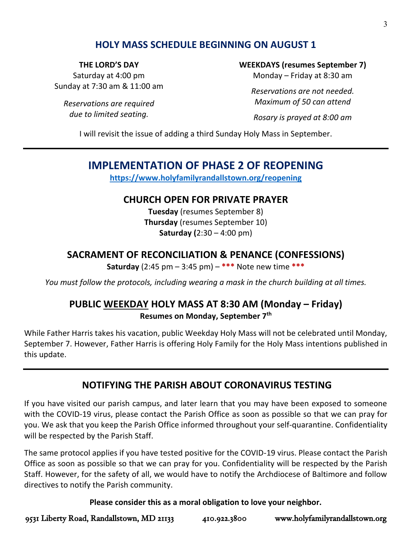## **HOLY MASS SCHEDULE BEGINNING ON AUGUST 1**

#### **THE LORD'S DAY**

Saturday at 4:00 pm Sunday at 7:30 am & 11:00 am

*Reservations are required due to limited seating.*

#### **WEEKDAYS (resumes September 7)**

Monday – Friday at 8:30 am

*Reservations are not needed. Maximum of 50 can attend*

*Rosary is prayed at 8:00 am*

I will revisit the issue of adding a third Sunday Holy Mass in September.

## **IMPLEMENTATION OF PHASE 2 OF REOPENING**

**<https://www.holyfamilyrandallstown.org/reopening>**

## **CHURCH OPEN FOR PRIVATE PRAYER**

**Tuesday** (resumes September 8) **Thursday** (resumes September 10) **Saturday (**2:30 – 4:00 pm)

## **SACRAMENT OF RECONCILIATION & PENANCE (CONFESSIONS)**

**Saturday** (2:45 pm – 3:45 pm) – **\*\*\*** Note new time **\*\*\***

*You must follow the protocols, including wearing a mask in the church building at all times.*

## **PUBLIC WEEKDAY HOLY MASS AT 8:30 AM (Monday – Friday) Resumes on Monday, September 7th**

While Father Harris takes his vacation, public Weekday Holy Mass will not be celebrated until Monday, September 7. However, Father Harris is offering Holy Family for the Holy Mass intentions published in this update.

## **NOTIFYING THE PARISH ABOUT CORONAVIRUS TESTING**

If you have visited our parish campus, and later learn that you may have been exposed to someone with the COVID-19 virus, please contact the Parish Office as soon as possible so that we can pray for you. We ask that you keep the Parish Office informed throughout your self-quarantine. Confidentiality will be respected by the Parish Staff.

The same protocol applies if you have tested positive for the COVID-19 virus. Please contact the Parish Office as soon as possible so that we can pray for you. Confidentiality will be respected by the Parish Staff. However, for the safety of all, we would have to notify the Archdiocese of Baltimore and follow directives to notify the Parish community.

#### **Please consider this as a moral obligation to love your neighbor.**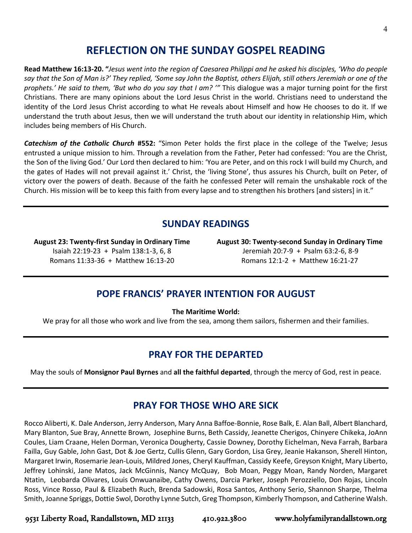## **REFLECTION ON THE SUNDAY GOSPEL READING**

**Read Matthew 16:13-20. "***Jesus went into the region of Caesarea Philippi and he asked his disciples, 'Who do people say that the Son of Man is?' They replied, 'Some say John the Baptist, others Elijah, still others Jeremiah or one of the prophets.' He said to them, 'But who do you say that I am? '"* This dialogue was a major turning point for the first Christians. There are many opinions about the Lord Jesus Christ in the world. Christians need to understand the identity of the Lord Jesus Christ according to what He reveals about Himself and how He chooses to do it. If we understand the truth about Jesus, then we will understand the truth about our identity in relationship Him, which includes being members of His Church.

*Catechism of the Catholic Church* **#552:** "Simon Peter holds the first place in the college of the Twelve; Jesus entrusted a unique mission to him. Through a revelation from the Father, Peter had confessed: 'You are the Christ, the Son of the living God.' Our Lord then declared to him: 'You are Peter, and on this rock I will build my Church, and the gates of Hades will not prevail against it.' Christ, the 'living Stone', thus assures his Church, built on Peter, of victory over the powers of death. Because of the faith he confessed Peter will remain the unshakable rock of the Church. His mission will be to keep this faith from every lapse and to strengthen his brothers [and sisters] in it."

## **SUNDAY READINGS**

**August 23: Twenty-first Sunday in Ordinary Time** Isaiah 22:19-23 + Psalm 138:1-3, 6, 8 Romans 11:33-36 + Matthew 16:13-20

**August 30: Twenty-second Sunday in Ordinary Time** Jeremiah 20:7-9 + Psalm 63:2-6, 8-9 Romans 12:1-2 + Matthew 16:21-27

## **POPE FRANCIS' PRAYER INTENTION FOR AUGUST**

**The Maritime World:**

We pray for all those who work and live from the sea, among them sailors, fishermen and their families.

## **PRAY FOR THE DEPARTED**

May the souls of **Monsignor Paul Byrnes** and **all the faithful departed**, through the mercy of God, rest in peace.

## **PRAY FOR THOSE WHO ARE SICK**

Rocco Aliberti, K. Dale Anderson, Jerry Anderson, Mary Anna Baffoe-Bonnie, Rose Balk, E. Alan Ball, Albert Blanchard, Mary Blanton, Sue Bray, Annette Brown, Josephine Burns, Beth Cassidy, Jeanette Cherigos, Chinyere Chikeka, JoAnn Coules, Liam Craane, Helen Dorman, Veronica Dougherty, Cassie Downey, Dorothy Eichelman, Neva Farrah, Barbara Failla, Guy Gable, John Gast, Dot & Joe Gertz, Cullis Glenn, Gary Gordon, Lisa Grey, Jeanie Hakanson, Sherell Hinton, Margaret Irwin, Rosemarie Jean-Louis, Mildred Jones, Cheryl Kauffman, Cassidy Keefe, Greyson Knight, Mary Liberto, Jeffrey Lohinski, Jane Matos, Jack McGinnis, Nancy McQuay, Bob Moan, Peggy Moan, Randy Norden, Margaret Ntatin, Leobarda Olivares, Louis Onwuanaibe, Cathy Owens, Darcia Parker, Joseph Perozziello, Don Rojas, Lincoln Ross, Vince Rosso, Paul & Elizabeth Ruch, Brenda Sadowski, Rosa Santos, Anthony Serio, Shannon Sharpe, Thelma Smith, Joanne Spriggs, Dottie Swol, Dorothy Lynne Sutch, Greg Thompson, Kimberly Thompson, and Catherine Walsh.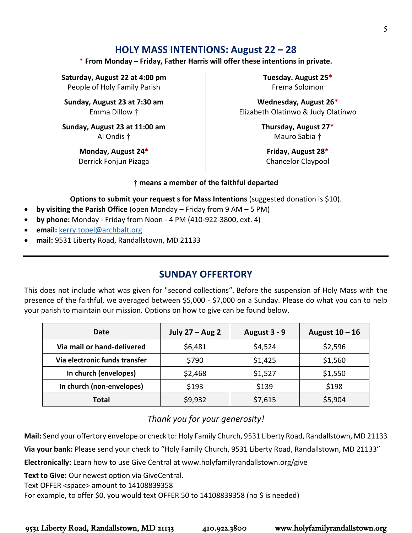## **HOLY MASS INTENTIONS: August 22 – 28**

#### **\* From Monday – Friday, Father Harris will offer these intentions in private.**

**Saturday, August 22 at 4:00 pm** People of Holy Family Parish

**Sunday, August 23 at 7:30 am** Emma Dillow †

**Sunday, August 23 at 11:00 am** Al Ondis †

> **Monday, August 24\*** Derrick Fonjun Pizaga

**Tuesday. August 25\*** Frema Solomon

**Wednesday, August 26\*** Elizabeth Olatinwo & Judy Olatinwo

> **Thursday, August 27\*** Mauro Sabia †

**Friday, August 28\*** Chancelor Claypool

#### **† means a member of the faithful departed**

**Options to submit your request s for Mass Intentions** (suggested donation is \$10).

- **by visiting the Parish Office** (open Monday Friday from 9 AM 5 PM)
- **by phone:** Monday Friday from Noon 4 PM (410-922-3800, ext. 4)
- **email:** [kerry.topel@archbalt.org](mailto:kerry.topel@archbalt.org)
- **mail:** 9531 Liberty Road, Randallstown, MD 21133

## **SUNDAY OFFERTORY**

This does not include what was given for "second collections". Before the suspension of Holy Mass with the presence of the faithful, we averaged between \$5,000 - \$7,000 on a Sunday. Please do what you can to help your parish to maintain our mission. Options on how to give can be found below.

| Date                          | July $27 - Aug 2$ | August 3 - 9 | August $10 - 16$ |
|-------------------------------|-------------------|--------------|------------------|
| Via mail or hand-delivered    | \$6,481           | \$4,524      | \$2,596          |
| Via electronic funds transfer | \$790             | \$1,425      | \$1,560          |
| In church (envelopes)         | \$2,468           | \$1,527      | \$1,550          |
| In church (non-envelopes)     | \$193             | \$139        | \$198            |
| Total                         | \$9,932           | \$7,615      | \$5,904          |

## *Thank you for your generosity!*

**Mail:** Send your offertory envelope or check to: Holy Family Church, 9531 Liberty Road, Randallstown, MD 21133

**Via your bank:** Please send your check to "Holy Family Church, 9531 Liberty Road, Randallstown, MD 21133"

**Electronically:** Learn how to use Give Central at www.holyfamilyrandallstown.org/give

**Text to Give:** Our newest option via GiveCentral.

Text OFFER <space> amount to 14108839358

For example, to offer \$0, you would text OFFER 50 to 14108839358 (no \$ is needed)

5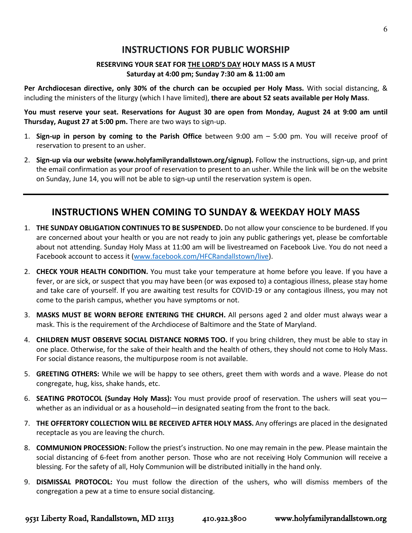## **INSTRUCTIONS FOR PUBLIC WORSHIP**

#### **RESERVING YOUR SEAT FOR THE LORD'S DAY HOLY MASS IS A MUST Saturday at 4:00 pm; Sunday 7:30 am & 11:00 am**

**Per Archdiocesan directive, only 30% of the church can be occupied per Holy Mass.** With social distancing, & including the ministers of the liturgy (which I have limited), **there are about 52 seats available per Holy Mass**.

You must reserve your seat. Reservations for August 30 are open from Monday, August 24 at 9:00 am until **Thursday, August 27 at 5:00 pm.** There are two ways to sign-up.

- 1. **Sign-up in person by coming to the Parish Office** between 9:00 am 5:00 pm. You will receive proof of reservation to present to an usher.
- 2. **Sign-up via our website (www.holyfamilyrandallstown.org/signup).** Follow the instructions, sign-up, and print the email confirmation as your proof of reservation to present to an usher. While the link will be on the website on Sunday, June 14, you will not be able to sign-up until the reservation system is open.

## **INSTRUCTIONS WHEN COMING TO SUNDAY & WEEKDAY HOLY MASS**

- 1. **THE SUNDAY OBLIGATION CONTINUES TO BE SUSPENDED.** Do not allow your conscience to be burdened. If you are concerned about your health or you are not ready to join any public gatherings yet, please be comfortable about not attending. Sunday Holy Mass at 11:00 am will be livestreamed on Facebook Live. You do not need a Facebook account to access it [\(www.facebook.com/HFCRandallstown/live\)](http://www.facebook.com/HFCRandallstown/live).
- 2. **CHECK YOUR HEALTH CONDITION.** You must take your temperature at home before you leave. If you have a fever, or are sick, or suspect that you may have been (or was exposed to) a contagious illness, please stay home and take care of yourself. If you are awaiting test results for COVID-19 or any contagious illness, you may not come to the parish campus, whether you have symptoms or not.
- 3. **MASKS MUST BE WORN BEFORE ENTERING THE CHURCH.** All persons aged 2 and older must always wear a mask. This is the requirement of the Archdiocese of Baltimore and the State of Maryland.
- 4. **CHILDREN MUST OBSERVE SOCIAL DISTANCE NORMS TOO.** If you bring children, they must be able to stay in one place. Otherwise, for the sake of their health and the health of others, they should not come to Holy Mass. For social distance reasons, the multipurpose room is not available.
- 5. **GREETING OTHERS:** While we will be happy to see others, greet them with words and a wave. Please do not congregate, hug, kiss, shake hands, etc.
- 6. **SEATING PROTOCOL (Sunday Holy Mass):** You must provide proof of reservation. The ushers will seat you whether as an individual or as a household—in designated seating from the front to the back.
- 7. **THE OFFERTORY COLLECTION WILL BE RECEIVED AFTER HOLY MASS.** Any offerings are placed in the designated receptacle as you are leaving the church.
- 8. **COMMUNION PROCESSION:** Follow the priest's instruction. No one may remain in the pew. Please maintain the social distancing of 6-feet from another person. Those who are not receiving Holy Communion will receive a blessing. For the safety of all, Holy Communion will be distributed initially in the hand only.
- 9. **DISMISSAL PROTOCOL:** You must follow the direction of the ushers, who will dismiss members of the congregation a pew at a time to ensure social distancing.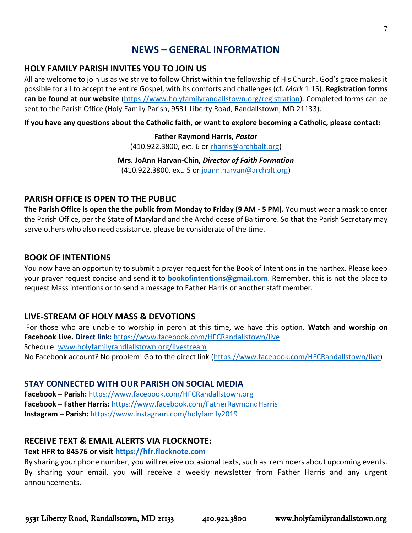## **NEWS – GENERAL INFORMATION**

#### **HOLY FAMILY PARISH INVITES YOU TO JOIN US**

All are welcome to join us as we strive to follow Christ within the fellowship of His Church. God's grace makes it possible for all to accept the entire Gospel, with its comforts and challenges (cf. *Mark* 1:15). **Registration forms can be found at our website** [\(https://www.holyfamilyrandallstown.org/registration\)](https://www.holyfamilyrandallstown.org/registration). Completed forms can be sent to the Parish Office (Holy Family Parish, 9531 Liberty Road, Randallstown, MD 21133).

**If you have any questions about the Catholic faith, or want to explore becoming a Catholic, please contact:**

**Father Raymond Harris,** *Pastor* (410.922.3800, ext. 6 o[r rharris@archbalt.org\)](mailto:rharris@archbalt.org)

**Mrs. JoAnn Harvan-Chin,** *Director of Faith Formation* (410.922.3800. ext. 5 or [joann.harvan@archblt.org\)](mailto:joann.harvan@archblt.org)

#### **PARISH OFFICE IS OPEN TO THE PUBLIC**

**The Parish Office is open the the public from Monday to Friday (9 AM - 5 PM).** You must wear a mask to enter the Parish Office, per the State of Maryland and the Archdiocese of Baltimore. So **that** the Parish Secretary may serve others who also need assistance, please be considerate of the time.

#### **BOOK OF INTENTIONS**

You now have an opportunity to submit a prayer request for the Book of Intentions in the narthex. Please keep your prayer request concise and send it to **[bookofintentions@gmail.com](mailto:bookofintentions@gmail.com)**. Remember, this is not the place to request Mass intentions or to send a message to Father Harris or another staff member.

#### **LIVE-STREAM OF HOLY MASS & DEVOTIONS**

For those who are unable to worship in peron at this time, we have this option. **Watch and worship on Facebook Live. Direct link:** <https://www.facebook.com/HFCRandallstown/live> Schedule: [www.holyfamilyrandlallstown.org/livestream](http://www.holyfamilyrandlallstown.org/livestream) No Facebook account? No problem! Go to the direct link [\(https://www.facebook.com/HFCRandallstown/live\)](https://www.facebook.com/HFCRandallstown/live)

#### **STAY CONNECTED WITH OUR PARISH ON SOCIAL MEDIA**

**Facebook – Parish:** <https://www.facebook.com/HFCRandallstown.org> **Facebook – Father Harris:** <https://www.facebook.com/FatherRaymondHarris> **Instagram - Parish: <https://www.instagram.com/holyfamily2019>** 

#### **RECEIVE TEXT & EMAIL ALERTS VIA FLOCKNOTE:**

#### **Text HFR to 84576 or visit [https://hfr.flocknote.com](https://hfr.flocknote.com/)**

By sharing your phone number, you will receive occasional texts, such as reminders about upcoming events. By sharing your email, you will receive a weekly newsletter from Father Harris and any urgent announcements.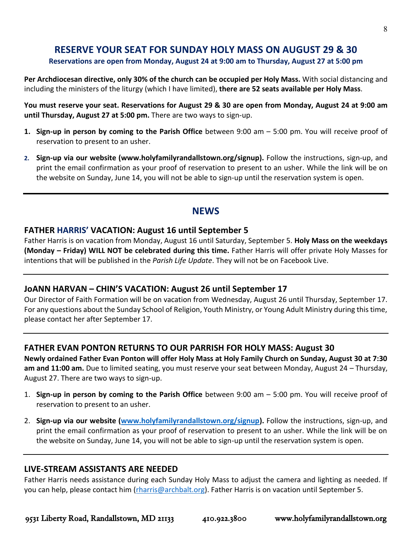## **RESERVE YOUR SEAT FOR SUNDAY HOLY MASS ON AUGUST 29 & 30**

#### **Reservations are open from Monday, August 24 at 9:00 am to Thursday, August 27 at 5:00 pm**

**Per Archdiocesan directive, only 30% of the church can be occupied per Holy Mass.** With social distancing and including the ministers of the liturgy (which I have limited), **there are 52 seats available per Holy Mass**.

You must reserve your seat. Reservations for August 29 & 30 are open from Monday, August 24 at 9:00 am **until Thursday, August 27 at 5:00 pm.** There are two ways to sign-up.

- **1. Sign-up in person by coming to the Parish Office** between 9:00 am 5:00 pm. You will receive proof of reservation to present to an usher.
- **2. Sign-up via our website (www.holyfamilyrandallstown.org/signup).** Follow the instructions, sign-up, and print the email confirmation as your proof of reservation to present to an usher. While the link will be on the website on Sunday, June 14, you will not be able to sign-up until the reservation system is open.

## **NEWS**

#### **FATHER HARRIS' VACATION: August 16 until September 5**

Father Harris is on vacation from Monday, August 16 until Saturday, September 5. **Holy Mass on the weekdays (Monday – Friday) WILL NOT be celebrated during this time.** Father Harris will offer private Holy Masses for intentions that will be published in the *Parish Life Update*. They will not be on Facebook Live.

#### **JoANN HARVAN – CHIN'S VACATION: August 26 until September 17**

Our Director of Faith Formation will be on vacation from Wednesday, August 26 until Thursday, September 17. For any questions about the Sunday School of Religion, Youth Ministry, or Young Adult Ministry during this time, please contact her after September 17.

#### **FATHER EVAN PONTON RETURNS TO OUR PARRISH FOR HOLY MASS: August 30**

**Newly ordained Father Evan Ponton will offer Holy Mass at Holy Family Church on Sunday, August 30 at 7:30 am and 11:00 am.** Due to limited seating, you must reserve your seat between Monday, August 24 – Thursday, August 27. There are two ways to sign-up.

- 1. **Sign-up in person by coming to the Parish Office** between 9:00 am 5:00 pm. You will receive proof of reservation to present to an usher.
- 2. **Sign-up via our website [\(www.holyfamilyrandallstown.org/signup\)](http://www.holyfamilyrandallstown.org/signup).** Follow the instructions, sign-up, and print the email confirmation as your proof of reservation to present to an usher. While the link will be on the website on Sunday, June 14, you will not be able to sign-up until the reservation system is open.

#### **LIVE-STREAM ASSISTANTS ARE NEEDED**

Father Harris needs assistance during each Sunday Holy Mass to adjust the camera and lighting as needed. If you can help, please contact him [\(rharris@archbalt.org\)](mailto:rharris@archbalt.org). Father Harris is on vacation until September 5.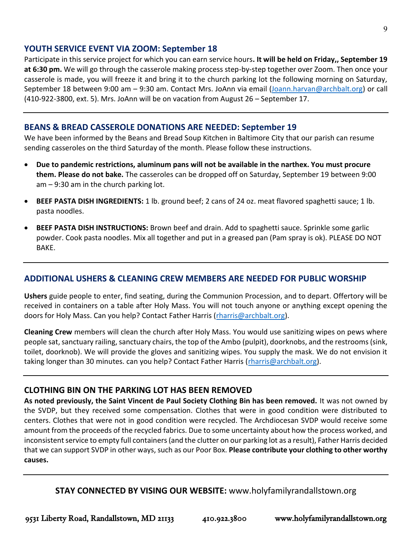#### **YOUTH SERVICE EVENT VIA ZOOM: September 18**

Participate in this service project for which you can earn service hours**. It will be held on Friday,, September 19 at 6:30 pm.** We will go through the casserole making process step-by-step together over Zoom. Then once your casserole is made, you will freeze it and bring it to the church parking lot the following morning on Saturday, September 18 between 9:00 am – 9:30 am. Contact Mrs. JoAnn via email [\(Joann.harvan@archbalt.org\)](mailto:Joann.harvan@archbalt.org) or call (410-922-3800, ext. 5). Mrs. JoAnn will be on vacation from August 26 – September 17.

#### **BEANS & BREAD CASSEROLE DONATIONS ARE NEEDED: September 19**

We have been informed by the Beans and Bread Soup Kitchen in Baltimore City that our parish can resume sending casseroles on the third Saturday of the month. Please follow these instructions.

- **Due to pandemic restrictions, aluminum pans will not be available in the narthex. You must procure them. Please do not bake.** The casseroles can be dropped off on Saturday, September 19 between 9:00 am – 9:30 am in the church parking lot.
- **BEEF PASTA DISH INGREDIENTS:** 1 lb. ground beef; 2 cans of 24 oz. meat flavored spaghetti sauce; 1 lb. pasta noodles.
- **BEEF PASTA DISH INSTRUCTIONS:** Brown beef and drain. Add to spaghetti sauce. Sprinkle some garlic powder. Cook pasta noodles. Mix all together and put in a greased pan (Pam spray is ok). PLEASE DO NOT BAKE.

#### **ADDITIONAL USHERS & CLEANING CREW MEMBERS ARE NEEDED FOR PUBLIC WORSHIP**

**Ushers** guide people to enter, find seating, during the Communion Procession, and to depart. Offertory will be received in containers on a table after Holy Mass. You will not touch anyone or anything except opening the doors for Holy Mass. Can you help? Contact Father Harris [\(rharris@archbalt.org\)](mailto:rharris@archbalt.org).

**Cleaning Crew** members will clean the church after Holy Mass. You would use sanitizing wipes on pews where people sat, sanctuary railing, sanctuary chairs, the top of the Ambo (pulpit), doorknobs, and the restrooms (sink, toilet, doorknob). We will provide the gloves and sanitizing wipes. You supply the mask. We do not envision it taking longer than 30 minutes. can you help? Contact Father Harris (*rharris@archbalt.org*).

#### **CLOTHING BIN ON THE PARKING LOT HAS BEEN REMOVED**

**As noted previously, the Saint Vincent de Paul Society Clothing Bin has been removed.** It was not owned by the SVDP, but they received some compensation. Clothes that were in good condition were distributed to centers. Clothes that were not in good condition were recycled. The Archdiocesan SVDP would receive some amount from the proceeds of the recycled fabrics. Due to some uncertainty about how the process worked, and inconsistent service to empty full containers (and the clutter on our parking lot as a result), Father Harris decided that we can support SVDP in other ways, such as our Poor Box. **Please contribute your clothing to other worthy causes.**

**STAY CONNECTED BY VISING OUR WEBSITE:** www.holyfamilyrandallstown.org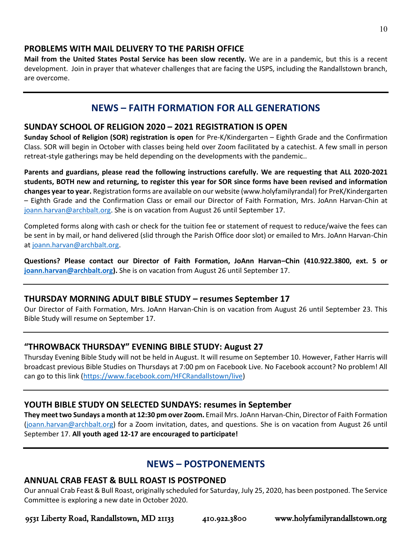#### **PROBLEMS WITH MAIL DELIVERY TO THE PARISH OFFICE**

**Mail from the United States Postal Service has been slow recently.** We are in a pandemic, but this is a recent development. Join in prayer that whatever challenges that are facing the USPS, including the Randallstown branch, are overcome.

## **NEWS – FAITH FORMATION FOR ALL GENERATIONS**

#### **SUNDAY SCHOOL OF RELIGION 2020 – 2021 REGISTRATION IS OPEN**

**Sunday School of Religion (SOR) registration is open** for Pre-K/Kindergarten – Eighth Grade and the Confirmation Class. SOR will begin in October with classes being held over Zoom facilitated by a catechist. A few small in person retreat-style gatherings may be held depending on the developments with the pandemic..

**Parents and guardians, please read the following instructions carefully. We are requesting that ALL 2020-2021 students, BOTH new and returning, to register this year for SOR since forms have been revised and information changes year to year.** Registration forms are available on our website (www.holyfamilyrandal) for PreK/Kindergarten – Eighth Grade and the Confirmation Class or email our Director of Faith Formation, Mrs. JoAnn Harvan-Chin at [joann.harvan@archbalt.org.](mailto:joann.harvan@archbalt.org) She is on vacation from August 26 until September 17.

Completed forms along with cash or check for the tuition fee or statement of request to reduce/waive the fees can be sent in by mail, or hand delivered (slid through the Parish Office door slot) or emailed to Mrs. JoAnn Harvan-Chin at [joann.harvan@archbalt.org.](mailto:joann.harvan@archbalt.org)

**Questions? Please contact our Director of Faith Formation, JoAnn Harvan–Chin (410.922.3800, ext. 5 or [joann.harvan@archbalt.org\)](mailto:joann.harvan@archbalt.org).** She is on vacation from August 26 until September 17.

#### **THURSDAY MORNING ADULT BIBLE STUDY – resumes September 17**

Our Director of Faith Formation, Mrs. JoAnn Harvan-Chin is on vacation from August 26 until September 23. This Bible Study will resume on September 17.

#### **"THROWBACK THURSDAY" EVENING BIBLE STUDY: August 27**

Thursday Evening Bible Study will not be held in August. It will resume on September 10. However, Father Harris will broadcast previous Bible Studies on Thursdays at 7:00 pm on Facebook Live. No Facebook account? No problem! All can go to this link [\(https://www.facebook.com/HFCRandallstown/live\)](https://www.facebook.com/HFCRandallstown/live)

#### **YOUTH BIBLE STUDY ON SELECTED SUNDAYS: resumes in September**

**They meet two Sundays a month at 12:30 pm over Zoom.** Email Mrs. JoAnn Harvan-Chin, Director of Faith Formation [\(joann.harvan@archbalt.org\)](mailto:joann.harvan@archbalt.org) for a Zoom invitation, dates, and questions. She is on vacation from August 26 until September 17. **All youth aged 12-17 are encouraged to participate!**

## **NEWS – POSTPONEMENTS**

#### **ANNUAL CRAB FEAST & BULL ROAST IS POSTPONED**

Our annual Crab Feast & Bull Roast, originally scheduled for Saturday, July 25, 2020, has been postponed. The Service Committee is exploring a new date in October 2020.